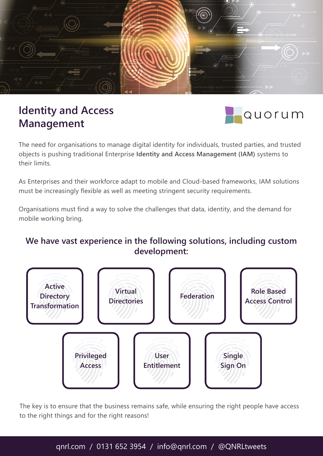

## **Identity and Access Management**



The need for organisations to manage digital identity for individuals, trusted parties, and trusted objects is pushing traditional Enterprise **Identity and Access Management (IAM)** systems to their limits.

As Enterprises and their workforce adapt to mobile and Cloud-based frameworks, IAM solutions must be increasingly flexible as well as meeting stringent security requirements.

Organisations must find a way to solve the challenges that data, identity, and the demand for mobile working bring.

## **We have vast experience in the following solutions, including custom development:**



The key is to ensure that the business remains safe, while ensuring the right people have access to the right things and for the right reasons!

## qnrl.com / 0131 652 3954 / info@qnrl.com / @QNRLtweets